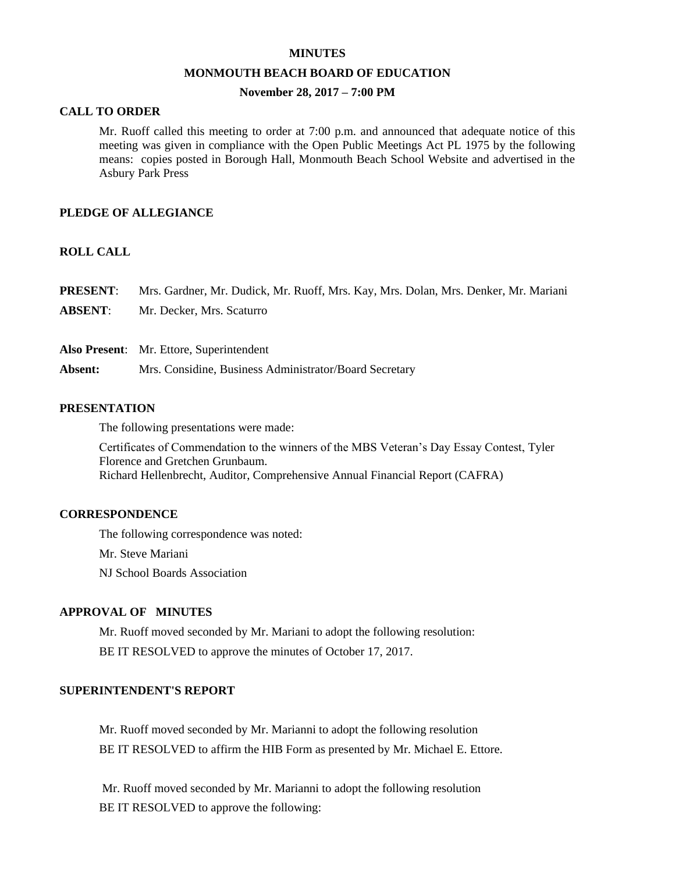#### **MINUTES**

#### **MONMOUTH BEACH BOARD OF EDUCATION**

## **November 28, 2017 – 7:00 PM**

#### **CALL TO ORDER**

Mr. Ruoff called this meeting to order at 7:00 p.m. and announced that adequate notice of this meeting was given in compliance with the Open Public Meetings Act PL 1975 by the following means: copies posted in Borough Hall, Monmouth Beach School Website and advertised in the Asbury Park Press

#### **PLEDGE OF ALLEGIANCE**

## **ROLL CALL**

| <b>PRESENT:</b> | Mrs. Gardner, Mr. Dudick, Mr. Ruoff, Mrs. Kay, Mrs. Dolan, Mrs. Denker, Mr. Mariani |
|-----------------|-------------------------------------------------------------------------------------|
| <b>ABSENT:</b>  | Mr. Decker, Mrs. Scaturro                                                           |
|                 |                                                                                     |
|                 | <b>Also Present:</b> Mr. Ettore, Superintendent                                     |
| Absent:         | Mrs. Considine, Business Administrator/Board Secretary                              |

## **PRESENTATION**

The following presentations were made:

Certificates of Commendation to the winners of the MBS Veteran's Day Essay Contest, Tyler Florence and Gretchen Grunbaum. Richard Hellenbrecht, Auditor, Comprehensive Annual Financial Report (CAFRA)

#### **CORRESPONDENCE**

The following correspondence was noted:

Mr. Steve Mariani

NJ School Boards Association

#### **APPROVAL OF MINUTES**

Mr. Ruoff moved seconded by Mr. Mariani to adopt the following resolution: BE IT RESOLVED to approve the minutes of October 17, 2017.

### **SUPERINTENDENT'S REPORT**

Mr. Ruoff moved seconded by Mr. Marianni to adopt the following resolution BE IT RESOLVED to affirm the HIB Form as presented by Mr. Michael E. Ettore.

Mr. Ruoff moved seconded by Mr. Marianni to adopt the following resolution BE IT RESOLVED to approve the following: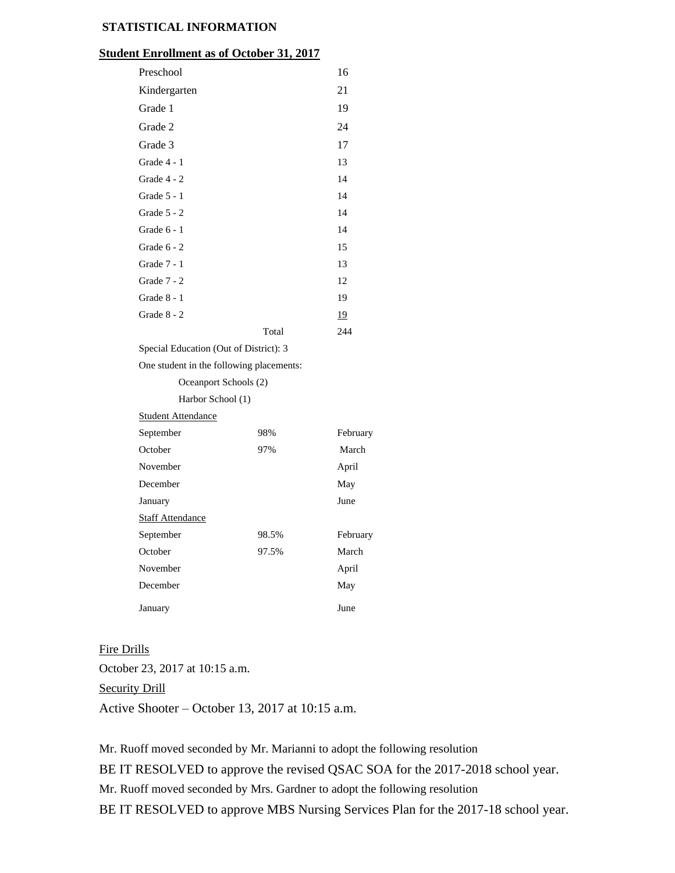## **STATISTICAL INFORMATION**

### **Student Enrollment as of October 31, 2017**

| Preschool                                |                   | 16       |  |  |
|------------------------------------------|-------------------|----------|--|--|
| Kindergarten                             |                   | 21       |  |  |
| Grade 1                                  |                   | 19       |  |  |
| Grade 2                                  |                   | 24       |  |  |
| Grade 3                                  |                   | 17       |  |  |
| Grade 4 - 1                              |                   | 13       |  |  |
| Grade 4 - 2                              |                   | 14       |  |  |
| Grade $5 - 1$                            |                   | 14       |  |  |
| Grade $5 - 2$                            |                   | 14       |  |  |
| Grade $6 - 1$                            |                   | 14       |  |  |
| Grade 6 - 2                              |                   | 15       |  |  |
| Grade 7 - 1                              |                   | 13       |  |  |
| Grade 7 - 2                              |                   | 12       |  |  |
| Grade 8 - 1                              |                   | 19       |  |  |
| Grade 8 - 2                              |                   | 19       |  |  |
|                                          | Total             | 244      |  |  |
| Special Education (Out of District): 3   |                   |          |  |  |
| One student in the following placements: |                   |          |  |  |
| Oceanport Schools (2)                    |                   |          |  |  |
|                                          | Harbor School (1) |          |  |  |
| <b>Student Attendance</b>                |                   |          |  |  |
| September                                | 98%               | February |  |  |
| October (                                | 97%               | March    |  |  |

| March    |
|----------|
| April    |
| May      |
| June     |
|          |
| February |
| March    |
| April    |
| May      |
|          |
|          |

### Fire Drills

October 23, 2017 at 10:15 a.m. Security Drill Active Shooter – October 13, 2017 at 10:15 a.m.

Mr. Ruoff moved seconded by Mr. Marianni to adopt the following resolution BE IT RESOLVED to approve the revised QSAC SOA for the 2017-2018 school year. Mr. Ruoff moved seconded by Mrs. Gardner to adopt the following resolution BE IT RESOLVED to approve MBS Nursing Services Plan for the 2017-18 school year.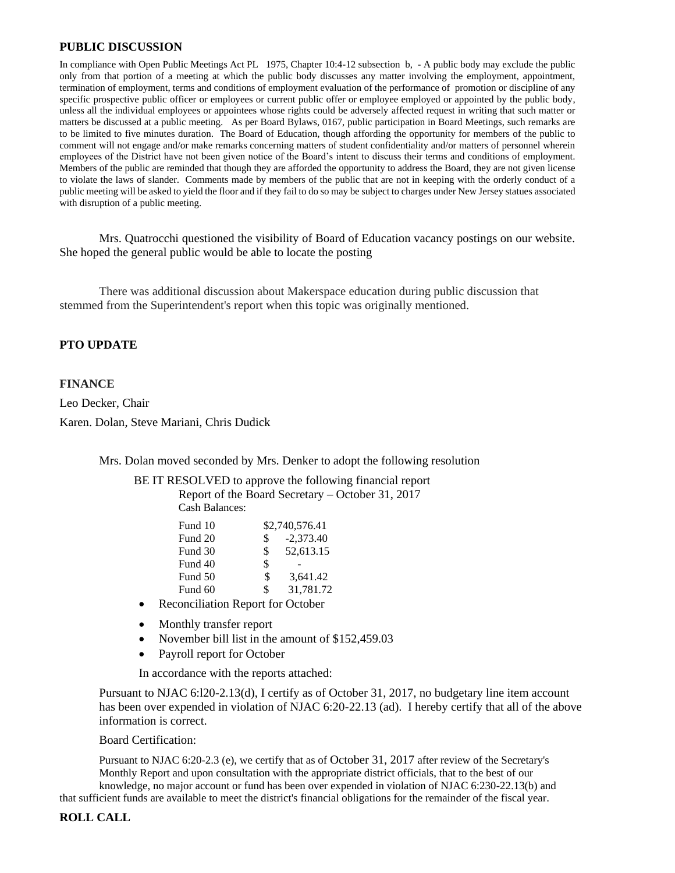### **PUBLIC DISCUSSION**

In compliance with Open Public Meetings Act PL 1975, Chapter 10:4-12 subsection b, - A public body may exclude the public only from that portion of a meeting at which the public body discusses any matter involving the employment, appointment, termination of employment, terms and conditions of employment evaluation of the performance of promotion or discipline of any specific prospective public officer or employees or current public offer or employee employed or appointed by the public body, unless all the individual employees or appointees whose rights could be adversely affected request in writing that such matter or matters be discussed at a public meeting. As per Board Bylaws, 0167, public participation in Board Meetings, such remarks are to be limited to five minutes duration. The Board of Education, though affording the opportunity for members of the public to comment will not engage and/or make remarks concerning matters of student confidentiality and/or matters of personnel wherein employees of the District have not been given notice of the Board's intent to discuss their terms and conditions of employment. Members of the public are reminded that though they are afforded the opportunity to address the Board, they are not given license to violate the laws of slander. Comments made by members of the public that are not in keeping with the orderly conduct of a public meeting will be asked to yield the floor and if they fail to do so may be subject to charges under New Jersey statues associated with disruption of a public meeting.

Mrs. Quatrocchi questioned the visibility of Board of Education vacancy postings on our website. She hoped the general public would be able to locate the posting

There was additional discussion about Makerspace education during public discussion that stemmed from the Superintendent's report when this topic was originally mentioned.

## **PTO UPDATE**

#### **FINANCE**

Leo Decker, Chair Karen. Dolan, Steve Mariani, Chris Dudick

Mrs. Dolan moved seconded by Mrs. Denker to adopt the following resolution

BE IT RESOLVED to approve the following financial report Report of the Board Secretary – October 31, 2017 Cash Balances:

| Fund 10 |     | \$2,740,576.41 |
|---------|-----|----------------|
| Fund 20 | \$. | $-2.373.40$    |
| Fund 30 | \$  | 52,613.15      |
| Fund 40 | \$  |                |
| Fund 50 | \$  | 3.641.42       |
| Fund 60 | \$  | 31,781.72      |
|         |     |                |

- Reconciliation Report for October
- Monthly transfer report
- November bill list in the amount of \$152,459.03
- Payroll report for October

In accordance with the reports attached:

Pursuant to NJAC 6:l20-2.13(d), I certify as of October 31, 2017, no budgetary line item account has been over expended in violation of NJAC 6:20-22.13 (ad). I hereby certify that all of the above information is correct.

Board Certification:

Pursuant to NJAC 6:20-2.3 (e), we certify that as of October 31, 2017 after review of the Secretary's Monthly Report and upon consultation with the appropriate district officials, that to the best of our knowledge, no major account or fund has been over expended in violation of NJAC 6:230-22.13(b) and

that sufficient funds are available to meet the district's financial obligations for the remainder of the fiscal year.

#### **ROLL CALL**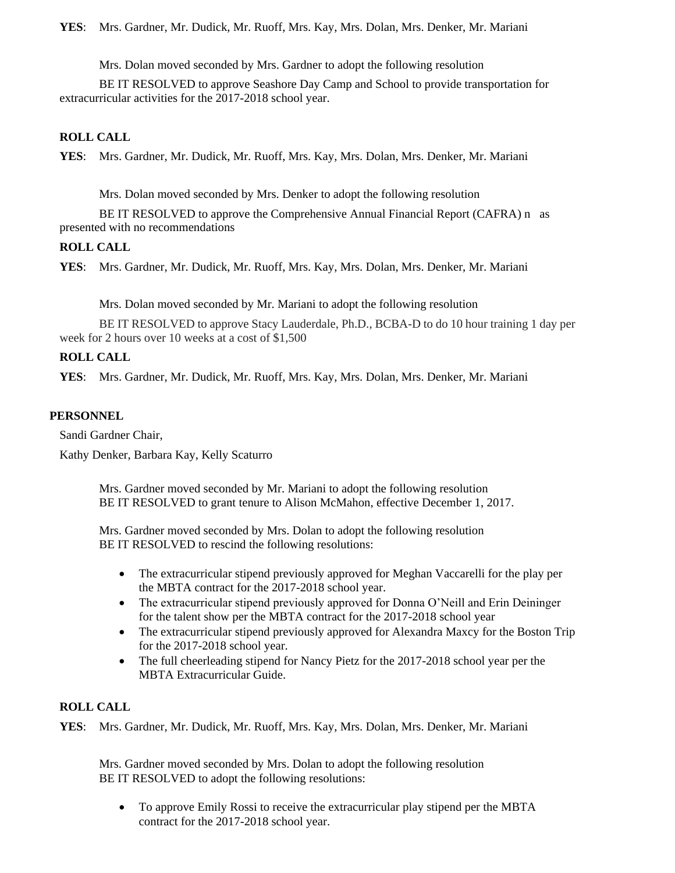**YES**: Mrs. Gardner, Mr. Dudick, Mr. Ruoff, Mrs. Kay, Mrs. Dolan, Mrs. Denker, Mr. Mariani

Mrs. Dolan moved seconded by Mrs. Gardner to adopt the following resolution

BE IT RESOLVED to approve Seashore Day Camp and School to provide transportation for extracurricular activities for the 2017-2018 school year.

## **ROLL CALL**

**YES**: Mrs. Gardner, Mr. Dudick, Mr. Ruoff, Mrs. Kay, Mrs. Dolan, Mrs. Denker, Mr. Mariani

Mrs. Dolan moved seconded by Mrs. Denker to adopt the following resolution

BE IT RESOLVED to approve the Comprehensive Annual Financial Report (CAFRA) n as presented with no recommendations

## **ROLL CALL**

**YES**: Mrs. Gardner, Mr. Dudick, Mr. Ruoff, Mrs. Kay, Mrs. Dolan, Mrs. Denker, Mr. Mariani

Mrs. Dolan moved seconded by Mr. Mariani to adopt the following resolution

BE IT RESOLVED to approve Stacy Lauderdale, Ph.D., BCBA-D to do 10 hour training 1 day per week for 2 hours over 10 weeks at a cost of \$1,500

## **ROLL CALL**

**YES**: Mrs. Gardner, Mr. Dudick, Mr. Ruoff, Mrs. Kay, Mrs. Dolan, Mrs. Denker, Mr. Mariani

## **PERSONNEL**

Sandi Gardner Chair,

Kathy Denker, Barbara Kay, Kelly Scaturro

Mrs. Gardner moved seconded by Mr. Mariani to adopt the following resolution BE IT RESOLVED to grant tenure to Alison McMahon, effective December 1, 2017.

Mrs. Gardner moved seconded by Mrs. Dolan to adopt the following resolution BE IT RESOLVED to rescind the following resolutions:

- The extracurricular stipend previously approved for Meghan Vaccarelli for the play per the MBTA contract for the 2017-2018 school year.
- The extracurricular stipend previously approved for Donna O'Neill and Erin Deininger for the talent show per the MBTA contract for the 2017-2018 school year
- The extracurricular stipend previously approved for Alexandra Maxcy for the Boston Trip for the 2017-2018 school year.
- The full cheerleading stipend for Nancy Pietz for the 2017-2018 school year per the MBTA Extracurricular Guide.

## **ROLL CALL**

**YES**: Mrs. Gardner, Mr. Dudick, Mr. Ruoff, Mrs. Kay, Mrs. Dolan, Mrs. Denker, Mr. Mariani

Mrs. Gardner moved seconded by Mrs. Dolan to adopt the following resolution BE IT RESOLVED to adopt the following resolutions:

 To approve Emily Rossi to receive the extracurricular play stipend per the MBTA contract for the 2017-2018 school year.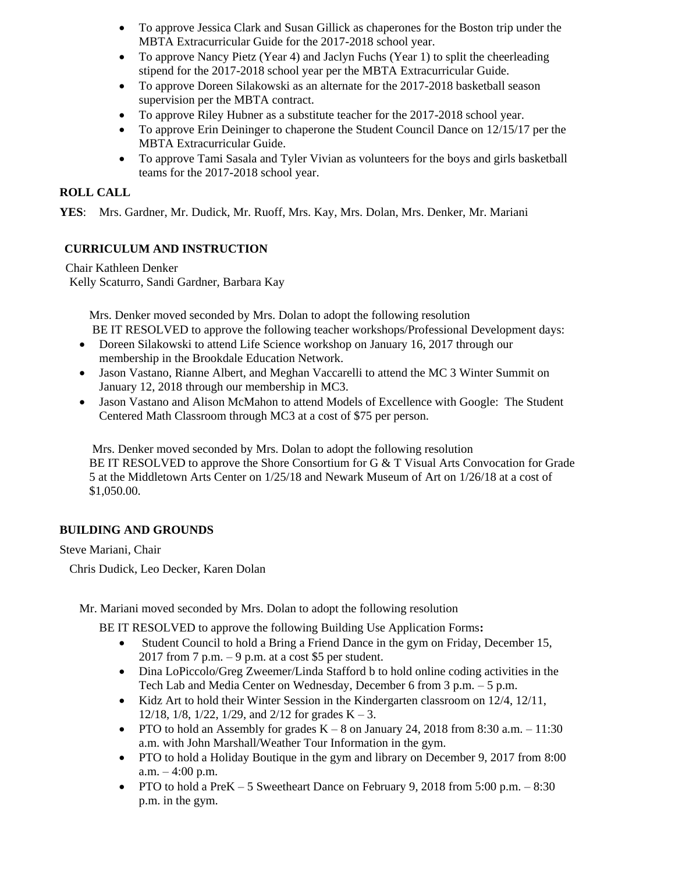- To approve Jessica Clark and Susan Gillick as chaperones for the Boston trip under the MBTA Extracurricular Guide for the 2017-2018 school year.
- To approve Nancy Pietz (Year 4) and Jaclyn Fuchs (Year 1) to split the cheerleading stipend for the 2017-2018 school year per the MBTA Extracurricular Guide.
- To approve Doreen Silakowski as an alternate for the 2017-2018 basketball season supervision per the MBTA contract.
- To approve Riley Hubner as a substitute teacher for the 2017-2018 school year.
- To approve Erin Deininger to chaperone the Student Council Dance on 12/15/17 per the MBTA Extracurricular Guide.
- To approve Tami Sasala and Tyler Vivian as volunteers for the boys and girls basketball teams for the 2017-2018 school year.

## **ROLL CALL**

**YES**: Mrs. Gardner, Mr. Dudick, Mr. Ruoff, Mrs. Kay, Mrs. Dolan, Mrs. Denker, Mr. Mariani

# **CURRICULUM AND INSTRUCTION**

Chair Kathleen Denker Kelly Scaturro, Sandi Gardner, Barbara Kay

> Mrs. Denker moved seconded by Mrs. Dolan to adopt the following resolution BE IT RESOLVED to approve the following teacher workshops/Professional Development days:

- Doreen Silakowski to attend Life Science workshop on January 16, 2017 through our membership in the Brookdale Education Network.
- Jason Vastano, Rianne Albert, and Meghan Vaccarelli to attend the MC 3 Winter Summit on January 12, 2018 through our membership in MC3.
- Jason Vastano and Alison McMahon to attend Models of Excellence with Google: The Student Centered Math Classroom through MC3 at a cost of \$75 per person.

Mrs. Denker moved seconded by Mrs. Dolan to adopt the following resolution BE IT RESOLVED to approve the Shore Consortium for G & T Visual Arts Convocation for Grade 5 at the Middletown Arts Center on 1/25/18 and Newark Museum of Art on 1/26/18 at a cost of \$1,050.00.

## **BUILDING AND GROUNDS**

Steve Mariani, Chair

Chris Dudick, Leo Decker, Karen Dolan

Mr. Mariani moved seconded by Mrs. Dolan to adopt the following resolution

BE IT RESOLVED to approve the following Building Use Application Forms**:** 

- Student Council to hold a Bring a Friend Dance in the gym on Friday, December 15, 2017 from  $7$  p.m.  $-9$  p.m. at a cost \$5 per student.
- Dina LoPiccolo/Greg Zweemer/Linda Stafford b to hold online coding activities in the Tech Lab and Media Center on Wednesday, December 6 from 3 p.m. – 5 p.m.
- $\bullet$  Kidz Art to hold their Winter Session in the Kindergarten classroom on 12/4, 12/11, 12/18, 1/8, 1/22, 1/29, and 2/12 for grades  $K - 3$ .
- PTO to hold an Assembly for grades  $K 8$  on January 24, 2018 from 8:30 a.m.  $-11:30$ a.m. with John Marshall/Weather Tour Information in the gym.
- PTO to hold a Holiday Boutique in the gym and library on December 9, 2017 from 8:00  $a.m. - 4:00 p.m.$
- PTO to hold a PreK 5 Sweetheart Dance on February 9, 2018 from  $5:00$  p.m.  $8:30$ p.m. in the gym.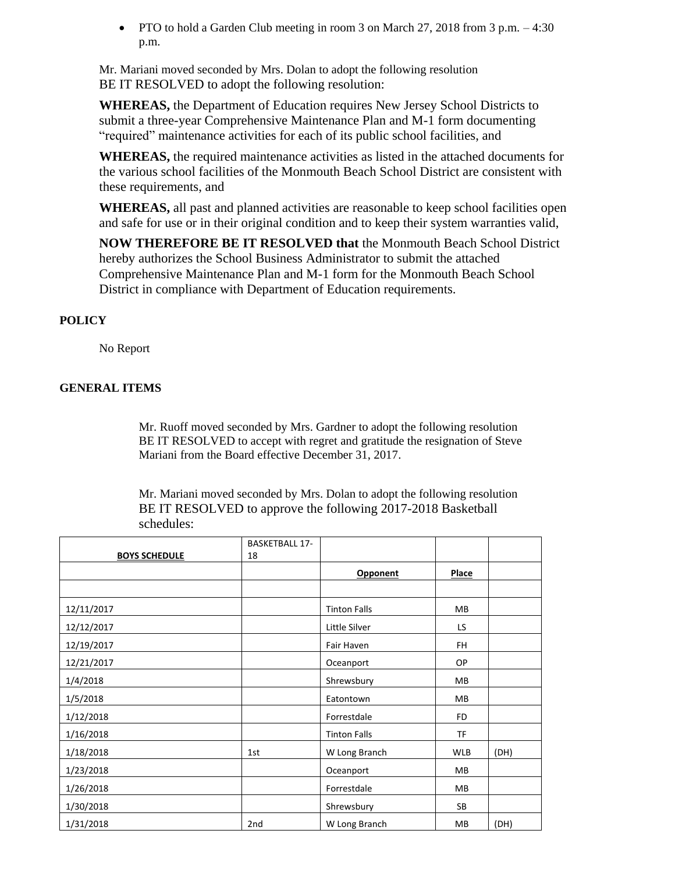• PTO to hold a Garden Club meeting in room 3 on March 27, 2018 from 3 p.m.  $-4:30$ p.m.

Mr. Mariani moved seconded by Mrs. Dolan to adopt the following resolution BE IT RESOLVED to adopt the following resolution:

**WHEREAS,** the Department of Education requires New Jersey School Districts to submit a three-year Comprehensive Maintenance Plan and M-1 form documenting "required" maintenance activities for each of its public school facilities, and

**WHEREAS,** the required maintenance activities as listed in the attached documents for the various school facilities of the Monmouth Beach School District are consistent with these requirements, and

**WHEREAS,** all past and planned activities are reasonable to keep school facilities open and safe for use or in their original condition and to keep their system warranties valid,

**NOW THEREFORE BE IT RESOLVED that** the Monmouth Beach School District hereby authorizes the School Business Administrator to submit the attached Comprehensive Maintenance Plan and M-1 form for the Monmouth Beach School District in compliance with Department of Education requirements.

## **POLICY**

No Report

## **GENERAL ITEMS**

Mr. Ruoff moved seconded by Mrs. Gardner to adopt the following resolution BE IT RESOLVED to accept with regret and gratitude the resignation of Steve Mariani from the Board effective December 31, 2017.

Mr. Mariani moved seconded by Mrs. Dolan to adopt the following resolution BE IT RESOLVED to approve the following 2017-2018 Basketball schedules:

|                      | <b>BASKETBALL 17-</b> |                     |            |      |
|----------------------|-----------------------|---------------------|------------|------|
| <b>BOYS SCHEDULE</b> | 18                    |                     |            |      |
|                      |                       | Opponent            | Place      |      |
|                      |                       |                     |            |      |
| 12/11/2017           |                       | <b>Tinton Falls</b> | <b>MB</b>  |      |
| 12/12/2017           |                       | Little Silver       | LS         |      |
| 12/19/2017           |                       | Fair Haven          | FH         |      |
| 12/21/2017           |                       | Oceanport           | OP         |      |
| 1/4/2018             |                       | Shrewsbury          | <b>MB</b>  |      |
| 1/5/2018             |                       | Eatontown           | MB         |      |
| 1/12/2018            |                       | Forrestdale         | FD         |      |
| 1/16/2018            |                       | <b>Tinton Falls</b> | ΤF         |      |
| 1/18/2018            | 1st                   | W Long Branch       | <b>WLB</b> | (DH) |
| 1/23/2018            |                       | Oceanport           | MB         |      |
| 1/26/2018            |                       | Forrestdale         | <b>MB</b>  |      |
| 1/30/2018            |                       | Shrewsbury          | SB         |      |
| 1/31/2018            | 2nd                   | W Long Branch       | MB         | (DH) |